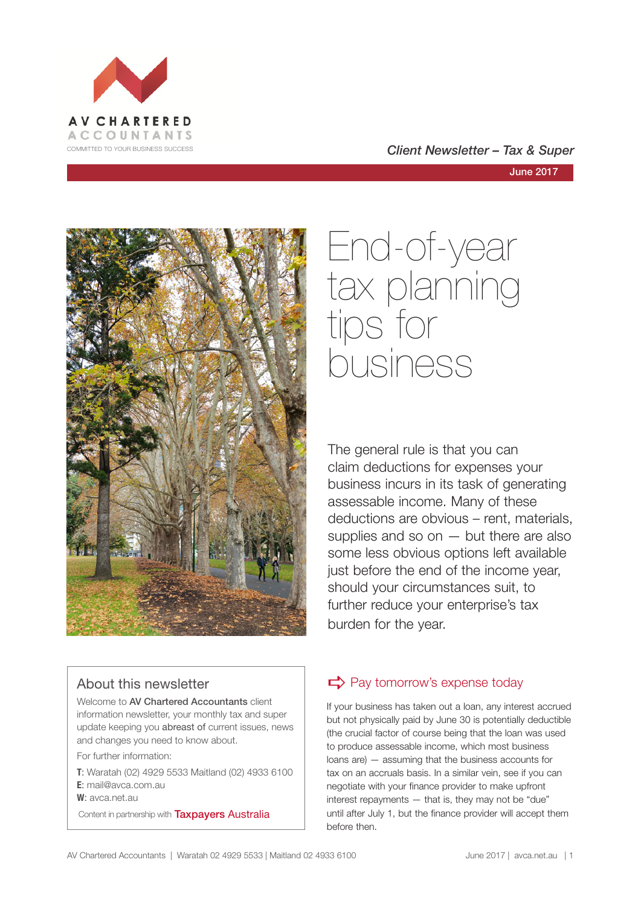





#### About this newsletter

Welcome to AV Chartered Accountants client information newsletter, your monthly tax and super update keeping you abreast of current issues, news and changes you need to know about.

For further information:

**T**: Waratah (02) 4929 5533 Maitland (02) 4933 6100 **E**: mail@avca.com.au

**W**: avca.net.au

Content in partnership with **Taxpayers Australia** 

End-of-year tax planning tips for business

The general rule is that you can claim deductions for expenses your business incurs in its task of generating assessable income. Many of these deductions are obvious – rent, materials, supplies and so on  $-$  but there are also some less obvious options left available just before the end of the income year, should your circumstances suit, to further reduce your enterprise's tax burden for the year.

## $\Rightarrow$  Pay tomorrow's expense today

If your business has taken out a loan, any interest accrued but not physically paid by June 30 is potentially deductible (the crucial factor of course being that the loan was used to produce assessable income, which most business loans are) — assuming that the business accounts for tax on an accruals basis. In a similar vein, see if you can negotiate with your finance provider to make upfront interest repayments — that is, they may not be "due" until after July 1, but the finance provider will accept them before then.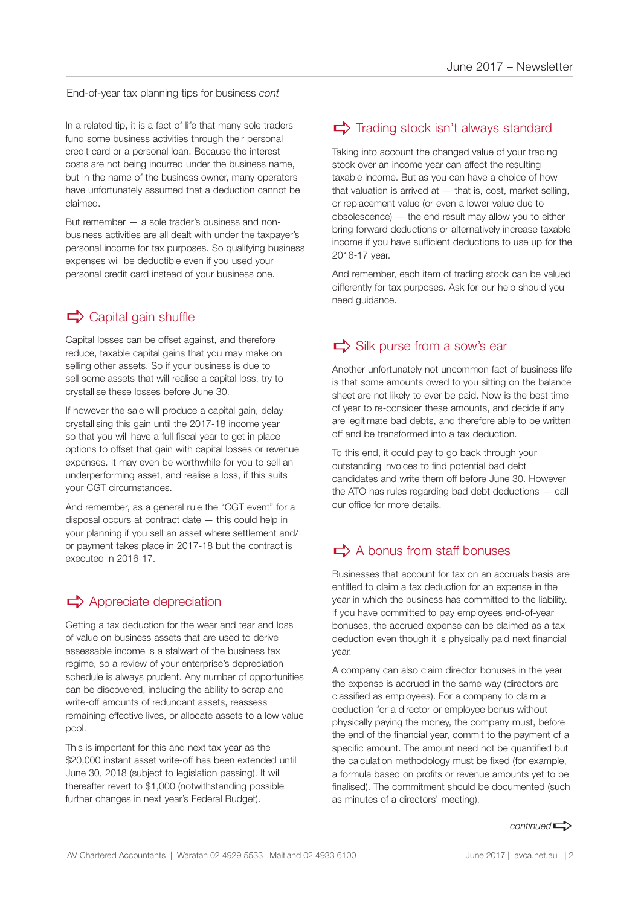#### End-of-year tax planning tips for business *cont*

In a related tip, it is a fact of life that many sole traders fund some business activities through their personal credit card or a personal loan. Because the interest costs are not being incurred under the business name, but in the name of the business owner, many operators have unfortunately assumed that a deduction cannot be claimed.

But remember — a sole trader's business and nonbusiness activities are all dealt with under the taxpayer's personal income for tax purposes. So qualifying business expenses will be deductible even if you used your personal credit card instead of your business one.

## $\Rightarrow$  Capital gain shuffle

Capital losses can be offset against, and therefore reduce, taxable capital gains that you may make on selling other assets. So if your business is due to sell some assets that will realise a capital loss, try to crystallise these losses before June 30.

If however the sale will produce a capital gain, delay crystallising this gain until the 2017-18 income year so that you will have a full fiscal year to get in place options to offset that gain with capital losses or revenue expenses. It may even be worthwhile for you to sell an underperforming asset, and realise a loss, if this suits your CGT circumstances.

And remember, as a general rule the "CGT event" for a disposal occurs at contract date — this could help in your planning if you sell an asset where settlement and/ or payment takes place in 2017-18 but the contract is executed in 2016-17.

## $\Rightarrow$  Appreciate depreciation

Getting a tax deduction for the wear and tear and loss of value on business assets that are used to derive assessable income is a stalwart of the business tax regime, so a review of your enterprise's depreciation schedule is always prudent. Any number of opportunities can be discovered, including the ability to scrap and write-off amounts of redundant assets, reassess remaining effective lives, or allocate assets to a low value pool.

This is important for this and next tax year as the \$20,000 instant asset write-off has been extended until June 30, 2018 (subject to legislation passing). It will thereafter revert to \$1,000 (notwithstanding possible further changes in next year's Federal Budget).

## $\Rightarrow$  Trading stock isn't always standard

Taking into account the changed value of your trading stock over an income year can affect the resulting taxable income. But as you can have a choice of how that valuation is arrived at  $-$  that is, cost, market selling, or replacement value (or even a lower value due to obsolescence) — the end result may allow you to either bring forward deductions or alternatively increase taxable income if you have sufficient deductions to use up for the 2016-17 year.

And remember, each item of trading stock can be valued differently for tax purposes. Ask for our help should you need guidance.

## $\Rightarrow$  Silk purse from a sow's ear

Another unfortunately not uncommon fact of business life is that some amounts owed to you sitting on the balance sheet are not likely to ever be paid. Now is the best time of year to re-consider these amounts, and decide if any are legitimate bad debts, and therefore able to be written off and be transformed into a tax deduction.

To this end, it could pay to go back through your outstanding invoices to find potential bad debt candidates and write them off before June 30. However the ATO has rules regarding bad debt deductions — call our office for more details.

## $\Rightarrow$  A bonus from staff bonuses

Businesses that account for tax on an accruals basis are entitled to claim a tax deduction for an expense in the year in which the business has committed to the liability. If you have committed to pay employees end-of-year bonuses, the accrued expense can be claimed as a tax deduction even though it is physically paid next financial year.

A company can also claim director bonuses in the year the expense is accrued in the same way (directors are classified as employees). For a company to claim a deduction for a director or employee bonus without physically paying the money, the company must, before the end of the financial year, commit to the payment of a specific amount. The amount need not be quantified but the calculation methodology must be fixed (for example, a formula based on profits or revenue amounts yet to be finalised). The commitment should be documented (such as minutes of a directors' meeting).

*continued*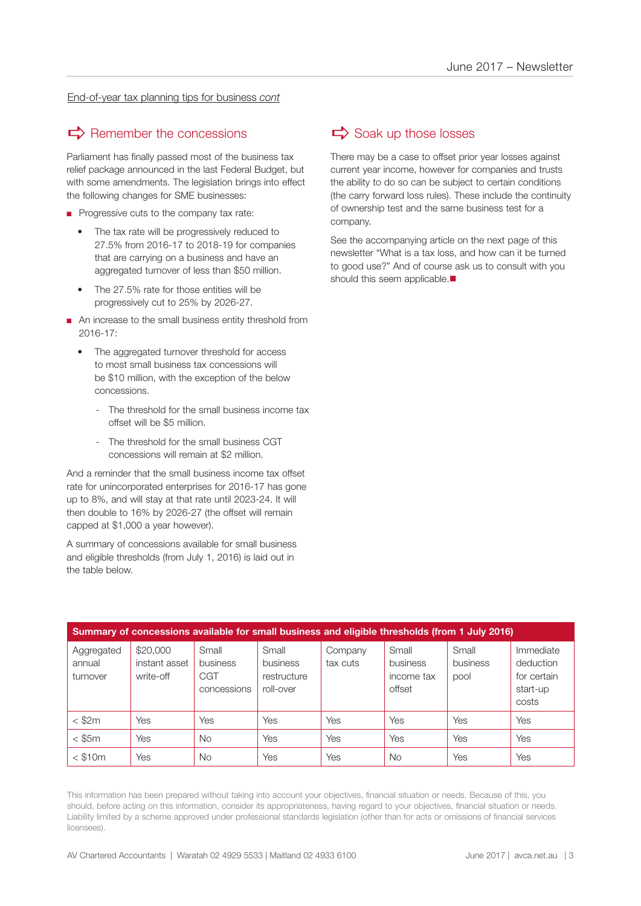End-of-year tax planning tips for business *cont*

## $\Rightarrow$  Remember the concessions

Parliament has finally passed most of the business tax relief package announced in the last Federal Budget, but with some amendments. The legislation brings into effect the following changes for SME businesses:

- Progressive cuts to the company tax rate:
	- The tax rate will be progressively reduced to 27.5% from 2016-17 to 2018-19 for companies that are carrying on a business and have an aggregated turnover of less than \$50 million.
	- The 27.5% rate for those entities will be progressively cut to 25% by 2026-27.
- An increase to the small business entity threshold from 2016-17:
	- The aggregated turnover threshold for access to most small business tax concessions will be \$10 million, with the exception of the below concessions.
		- The threshold for the small business income tax offset will be \$5 million.
		- The threshold for the small business CGT concessions will remain at \$2 million.

And a reminder that the small business income tax offset rate for unincorporated enterprises for 2016-17 has gone up to 8%, and will stay at that rate until 2023-24. It will then double to 16% by 2026-27 (the offset will remain capped at \$1,000 a year however).

A summary of concessions available for small business and eligible thresholds (from July 1, 2016) is laid out in the table below.

## $\Rightarrow$  Soak up those losses

There may be a case to offset prior year losses against current year income, however for companies and trusts the ability to do so can be subject to certain conditions (the carry forward loss rules). These include the continuity of ownership test and the same business test for a company.

See the accompanying article on the next page of this newsletter "What is a tax loss, and how can it be turned to good use?" And of course ask us to consult with you should this seem applicable.

| Summary of concessions available for small business and eligible thresholds (from 1 July 2016) |                                        |                                         |                                               |                     |                                           |                           |                                                            |
|------------------------------------------------------------------------------------------------|----------------------------------------|-----------------------------------------|-----------------------------------------------|---------------------|-------------------------------------------|---------------------------|------------------------------------------------------------|
| Aggregated<br>annual<br>turnover                                                               | \$20,000<br>instant asset<br>write-off | Small<br>business<br>CGT<br>concessions | Small<br>business<br>restructure<br>roll-over | Company<br>tax cuts | Small<br>business<br>income tax<br>offset | Small<br>business<br>pool | Immediate<br>deduction<br>for certain<br>start-up<br>costs |
| $<$ \$2 $m$                                                                                    | Yes                                    | Yes                                     | Yes                                           | Yes                 | Yes                                       | Yes                       | Yes                                                        |
| $<$ \$5 $m$                                                                                    | Yes                                    | No.                                     | Yes                                           | Yes                 | Yes                                       | Yes                       | Yes                                                        |
| $<$ \$10 $m$                                                                                   | Yes                                    | <b>No</b>                               | Yes                                           | Yes                 | <b>No</b>                                 | Yes                       | Yes                                                        |

This information has been prepared without taking into account your objectives, financial situation or needs. Because of this, you should, before acting on this information, consider its appropriateness, having regard to your objectives, financial situation or needs. Liability limited by a scheme approved under professional standards legislation (other than for acts or omissions of financial services licensees).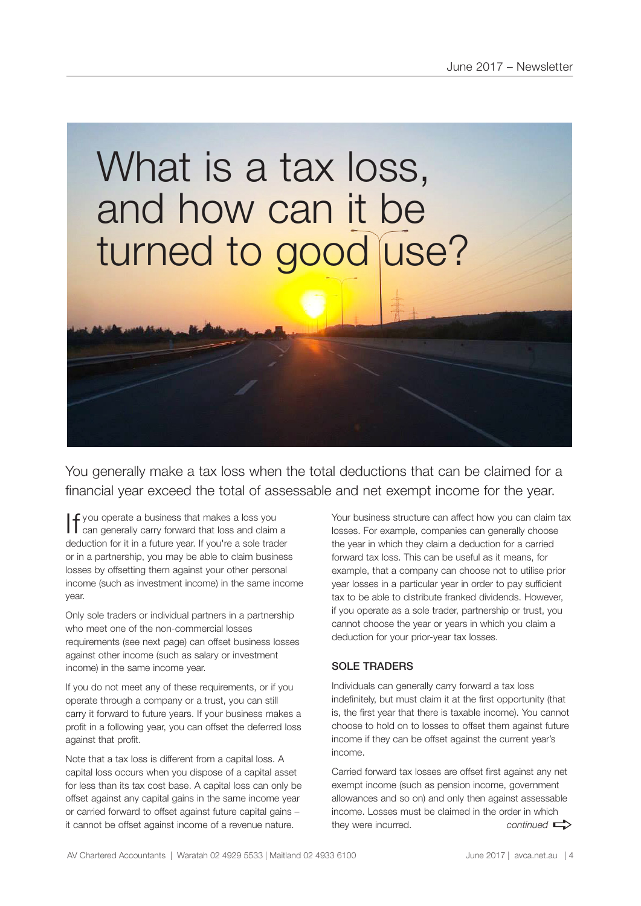# What is a tax loss, and how can it be turned to good use?

You generally make a tax loss when the total deductions that can be claimed for a financial year exceed the total of assessable and net exempt income for the year.

If you operate a business that makes a loss you can generally carry forward that loss and claim a deduction for it in a future year. If you're a sole trader or in a partnership, you may be able to claim business losses by offsetting them against your other personal income (such as investment income) in the same income year.

Only sole traders or individual partners in a partnership who meet one of the non-commercial losses requirements (see next page) can offset business losses against other income (such as salary or investment income) in the same income year.

If you do not meet any of these requirements, or if you operate through a company or a trust, you can still carry it forward to future years. If your business makes a profit in a following year, you can offset the deferred loss against that profit.

Note that a tax loss is different from a capital loss. A capital loss occurs when you dispose of a capital asset for less than its tax cost base. A capital loss can only be offset against any capital gains in the same income year or carried forward to offset against future capital gains – it cannot be offset against income of a revenue nature.

Your business structure can affect how you can claim tax losses. For example, companies can generally choose the year in which they claim a deduction for a carried forward tax loss. This can be useful as it means, for example, that a company can choose not to utilise prior year losses in a particular year in order to pay sufficient tax to be able to distribute franked dividends. However, if you operate as a sole trader, partnership or trust, you cannot choose the year or years in which you claim a deduction for your prior-year tax losses.

#### SOLE TRADERS

Individuals can generally carry forward a tax loss indefinitely, but must claim it at the first opportunity (that is, the first year that there is taxable income). You cannot choose to hold on to losses to offset them against future income if they can be offset against the current year's income.

Carried forward tax losses are offset first against any net exempt income (such as pension income, government allowances and so on) and only then against assessable income. Losses must be claimed in the order in which they were incurred.  $control \implies$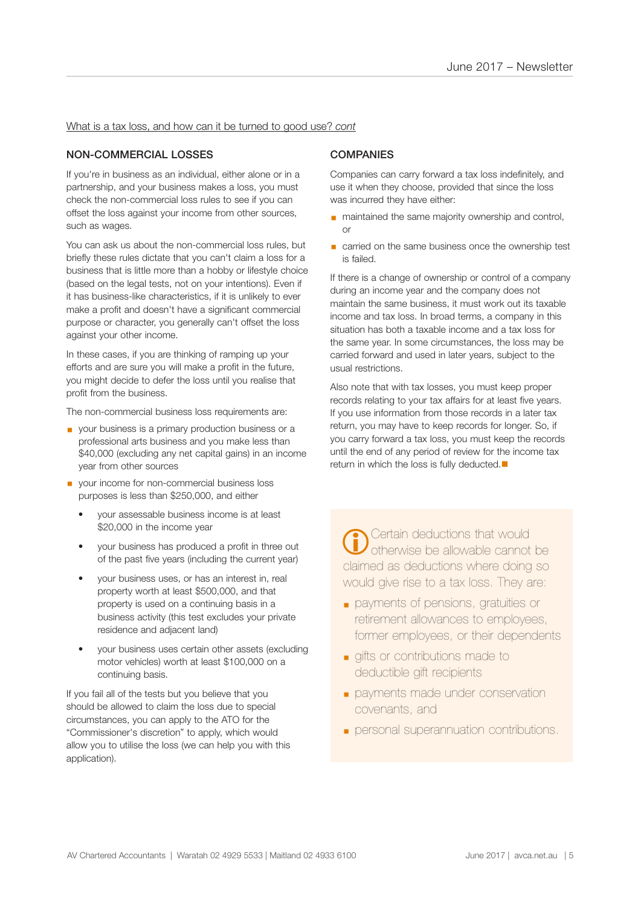#### What is a tax loss, and how can it be turned to good use? *cont*

#### NON-COMMERCIAL LOSSES

If you're in business as an individual, either alone or in a partnership, and your business makes a loss, you must check the non-commercial loss rules to see if you can offset the loss against your income from other sources, such as wages.

You can ask us about the non-commercial loss rules, but briefly these rules dictate that you can't claim a loss for a business that is little more than a hobby or lifestyle choice (based on the legal tests, not on your intentions). Even if it has business-like characteristics, if it is unlikely to ever make a profit and doesn't have a significant commercial purpose or character, you generally can't offset the loss against your other income.

In these cases, if you are thinking of ramping up your efforts and are sure you will make a profit in the future, you might decide to defer the loss until you realise that profit from the business.

The non-commercial business loss requirements are:

- your business is a primary production business or a professional arts business and you make less than \$40,000 (excluding any net capital gains) in an income year from other sources
- your income for non-commercial business loss purposes is less than \$250,000, and either
	- your assessable business income is at least \$20,000 in the income year
	- your business has produced a profit in three out of the past five years (including the current year)
	- your business uses, or has an interest in, real property worth at least \$500,000, and that property is used on a continuing basis in a business activity (this test excludes your private residence and adjacent land)
	- your business uses certain other assets (excluding motor vehicles) worth at least \$100,000 on a continuing basis.

If you fail all of the tests but you believe that you should be allowed to claim the loss due to special circumstances, you can apply to the ATO for the "Commissioner's discretion" to apply, which would allow you to utilise the loss (we can help you with this application).

#### **COMPANIES**

Companies can carry forward a tax loss indefinitely, and use it when they choose, provided that since the loss was incurred they have either:

- maintained the same majority ownership and control, or
- carried on the same business once the ownership test is failed.

If there is a change of ownership or control of a company during an income year and the company does not maintain the same business, it must work out its taxable income and tax loss. In broad terms, a company in this situation has both a taxable income and a tax loss for the same year. In some circumstances, the loss may be carried forward and used in later years, subject to the usual restrictions.

Also note that with tax losses, you must keep proper records relating to your tax affairs for at least five years. If you use information from those records in a later tax return, you may have to keep records for longer. So, if you carry forward a tax loss, you must keep the records until the end of any period of review for the income tax return in which the loss is fully deducted. $\blacksquare$ 

Certain deductions that would otherwise be allowable cannot be claimed as deductions where doing so would give rise to a tax loss. They are:  $\overline{a}$ 

- payments of pensions, gratuities or retirement allowances to employees, former employees, or their dependents
- gifts or contributions made to deductible gift recipients
- **payments made under conservation** covenants, and
- personal superannuation contributions.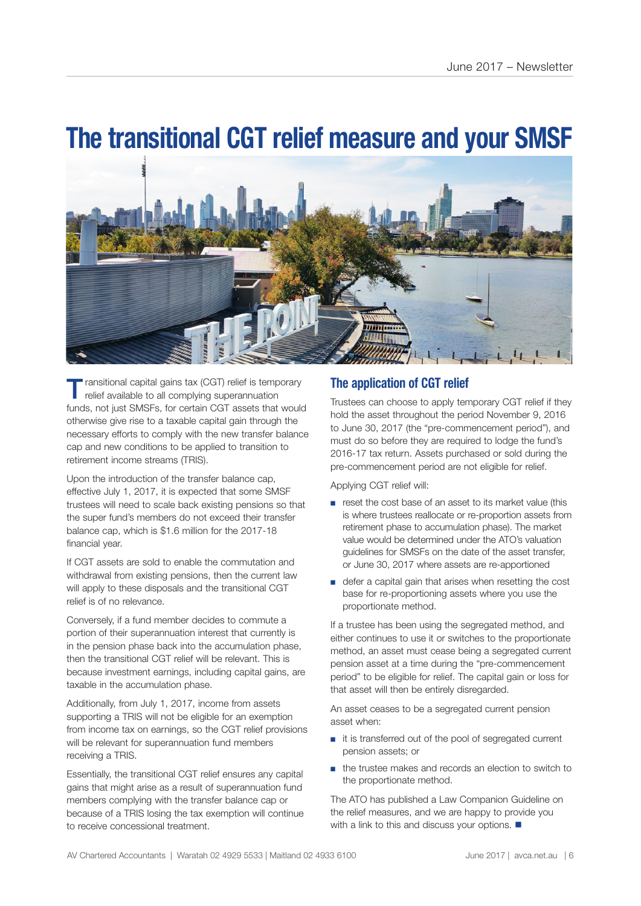## **The transitional CGT relief measure and your SMSF**



ransitional capital gains tax (CGT) relief is temporary relief available to all complying superannuation funds, not just SMSFs, for certain CGT assets that would otherwise give rise to a taxable capital gain through the necessary efforts to comply with the new transfer balance cap and new conditions to be applied to transition to retirement income streams (TRIS).

Upon the introduction of the transfer balance cap, effective July 1, 2017, it is expected that some SMSF trustees will need to scale back existing pensions so that the super fund's members do not exceed their transfer balance cap, which is \$1.6 million for the 2017-18 financial year.

If CGT assets are sold to enable the commutation and withdrawal from existing pensions, then the current law will apply to these disposals and the transitional CGT relief is of no relevance.

Conversely, if a fund member decides to commute a portion of their superannuation interest that currently is in the pension phase back into the accumulation phase, then the transitional CGT relief will be relevant. This is because investment earnings, including capital gains, are taxable in the accumulation phase.

Additionally, from July 1, 2017, income from assets supporting a TRIS will not be eligible for an exemption from income tax on earnings, so the CGT relief provisions will be relevant for superannuation fund members receiving a TRIS.

Essentially, the transitional CGT relief ensures any capital gains that might arise as a result of superannuation fund members complying with the transfer balance cap or because of a TRIS losing the tax exemption will continue to receive concessional treatment.

### **The application of CGT relief**

Trustees can choose to apply temporary CGT relief if they hold the asset throughout the period November 9, 2016 to June 30, 2017 (the "pre-commencement period"), and must do so before they are required to lodge the fund's 2016-17 tax return. Assets purchased or sold during the pre-commencement period are not eligible for relief.

Applying CGT relief will:

- reset the cost base of an asset to its market value (this is where trustees reallocate or re-proportion assets from retirement phase to accumulation phase). The market value would be determined under the ATO's valuation guidelines for SMSFs on the date of the asset transfer, or June 30, 2017 where assets are re-apportioned
- defer a capital gain that arises when resetting the cost base for re-proportioning assets where you use the proportionate method.

If a trustee has been using the segregated method, and either continues to use it or switches to the proportionate method, an asset must cease being a segregated current pension asset at a time during the "pre-commencement period" to be eligible for relief. The capital gain or loss for that asset will then be entirely disregarded.

An asset ceases to be a segregated current pension asset when:

- it is transferred out of the pool of segregated current pension assets; or
- the trustee makes and records an election to switch to the proportionate method.

The ATO has published a Law Companion Guideline on the relief measures, and we are happy to provide you with a link to this and discuss your options.  $\blacksquare$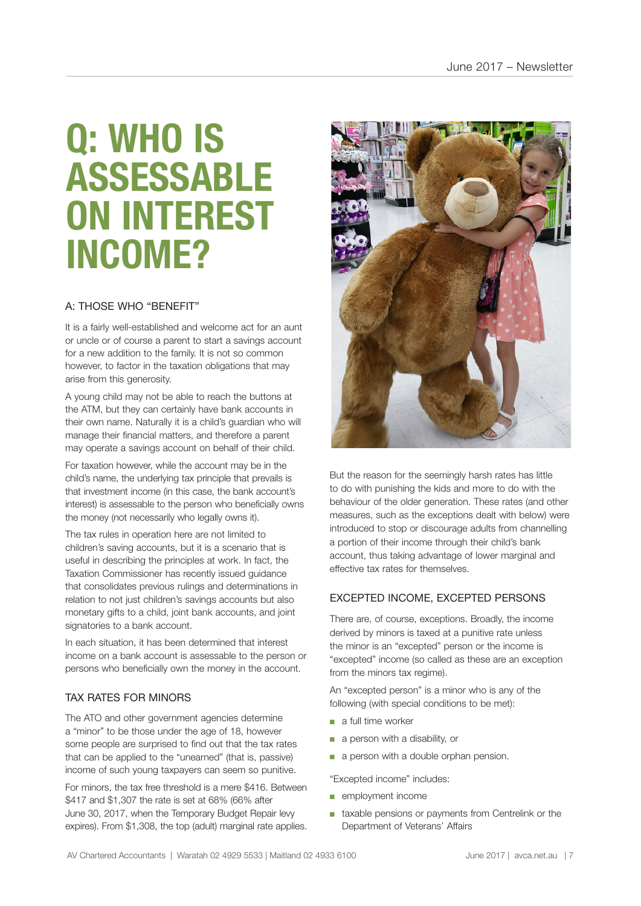## **Q: WHO IS ASSESSABLE ON INTEREST INCOME?**

#### A: THOSE WHO "BENEFIT"

It is a fairly well-established and welcome act for an aunt or uncle or of course a parent to start a savings account for a new addition to the family. It is not so common however, to factor in the taxation obligations that may arise from this generosity.

A young child may not be able to reach the buttons at the ATM, but they can certainly have bank accounts in their own name. Naturally it is a child's guardian who will manage their financial matters, and therefore a parent may operate a savings account on behalf of their child.

For taxation however, while the account may be in the child's name, the underlying tax principle that prevails is that investment income (in this case, the bank account's interest) is assessable to the person who beneficially owns the money (not necessarily who legally owns it).

The tax rules in operation here are not limited to children's saving accounts, but it is a scenario that is useful in describing the principles at work. In fact, the Taxation Commissioner has recently issued guidance that consolidates previous rulings and determinations in relation to not just children's savings accounts but also monetary gifts to a child, joint bank accounts, and joint signatories to a bank account.

In each situation, it has been determined that interest income on a bank account is assessable to the person or persons who beneficially own the money in the account.

#### TAX RATES FOR MINORS

The ATO and other government agencies determine a "minor" to be those under the age of 18, however some people are surprised to find out that the tax rates that can be applied to the "unearned" (that is, passive) income of such young taxpayers can seem so punitive.

For minors, the tax free threshold is a mere \$416. Between \$417 and \$1,307 the rate is set at 68% (66% after June 30, 2017, when the Temporary Budget Repair levy expires). From \$1,308, the top (adult) marginal rate applies.



But the reason for the seemingly harsh rates has little to do with punishing the kids and more to do with the behaviour of the older generation. These rates (and other measures, such as the exceptions dealt with below) were introduced to stop or discourage adults from channelling a portion of their income through their child's bank account, thus taking advantage of lower marginal and effective tax rates for themselves.

#### EXCEPTED INCOME, EXCEPTED PERSONS

There are, of course, exceptions. Broadly, the income derived by minors is taxed at a punitive rate unless the minor is an "excepted" person or the income is "excepted" income (so called as these are an exception from the minors tax regime).

An "excepted person" is a minor who is any of the following (with special conditions to be met):

- a full time worker
- a person with a disability, or
- a person with a double orphan pension.

"Excepted income" includes:

- employment income
- taxable pensions or payments from Centrelink or the Department of Veterans' Affairs